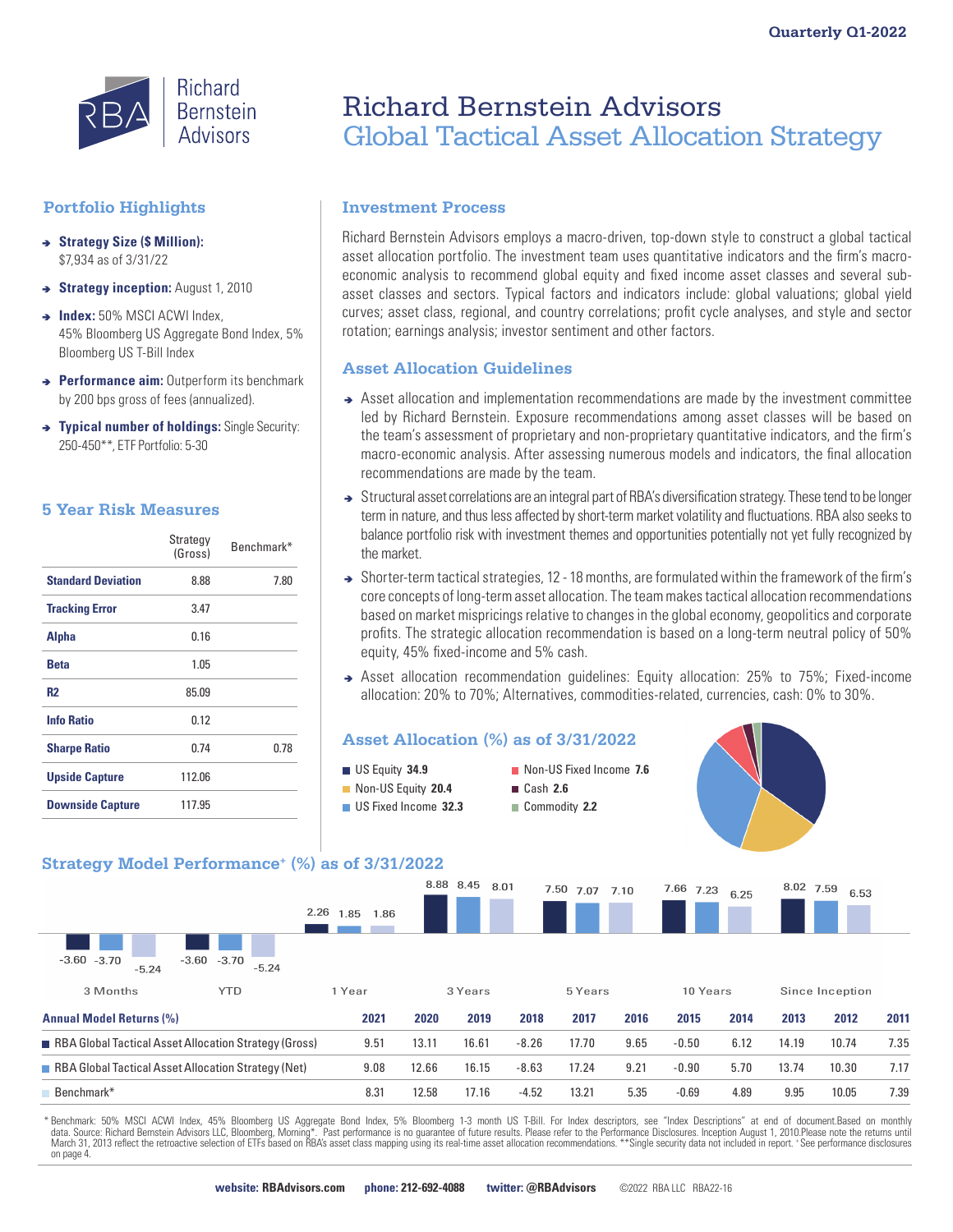

# **Portfolio Highlights**

- <sup>â</sup> **Strategy Size (\$ Million):**  \$7,934 as of 3/31/22
- $\rightarrow$  **Strategy inception:** August 1, 2010
- $\rightarrow$  **Index:** 50% MSCI ACWI Index, 45% Bloomberg US Aggregate Bond Index, 5% Bloomberg US T-Bill Index
- **→ Performance aim:** Outperform its benchmark by 200 bps gross of fees (annualized).
- $\rightarrow$  **Typical number of holdings:** Single Security: 250-450\*\*, ETF Portfolio: 5-30

# **5 Year Risk Measures**

|                           | Strategy<br>(Gross) | Benchmark* |
|---------------------------|---------------------|------------|
| <b>Standard Deviation</b> | 8.88                | 7.80       |
| <b>Tracking Error</b>     | 3.47                |            |
| <b>Alpha</b>              | 0.16                |            |
| <b>Beta</b>               | 1.05                |            |
| <b>R2</b>                 | 85.09               |            |
| <b>Info Ratio</b>         | 0.12                |            |
| <b>Sharpe Ratio</b>       | 0.74                | 0.78       |
| <b>Upside Capture</b>     | 112.06              |            |
| <b>Downside Capture</b>   | 117.95              |            |

# Richard Bernstein Advisors Global Tactical Asset Allocation Strategy

# **Investment Process**

Richard Bernstein Advisors employs a macro-driven, top-down style to construct a global tactical asset allocation portfolio. The investment team uses quantitative indicators and the firm's macroeconomic analysis to recommend global equity and fixed income asset classes and several subasset classes and sectors. Typical factors and indicators include: global valuations; global yield curves; asset class, regional, and country correlations; profit cycle analyses, and style and sector rotation; earnings analysis; investor sentiment and other factors.

# **Asset Allocation Guidelines**

- Asset allocation and implementation recommendations are made by the investment committee led by Richard Bernstein. Exposure recommendations among asset classes will be based on the team's assessment of proprietary and non-proprietary quantitative indicators, and the firm's macro-economic analysis. After assessing numerous models and indicators, the final allocation recommendations are made by the team.
- ◆ Structural asset correlations are an integral part of RBA's diversification strategy. These tend to be longer term in nature, and thus less affected by short-term market volatility and fluctuations. RBA also seeks to balance portfolio risk with investment themes and opportunities potentially not yet fully recognized by the market.
- ◆ Shorter-term tactical strategies, 12 18 months, are formulated within the framework of the firm's core concepts of long-term asset allocation. The team makes tactical allocation recommendations based on market mispricings relative to changes in the global economy, geopolitics and corporate profits. The strategic allocation recommendation is based on a long-term neutral policy of 50% equity, 45% fixed-income and 5% cash.
- Asset allocation recommendation guidelines: Equity allocation: 25% to 75%; Fixed-income allocation: 20% to 70%; Alternatives, commodities-related, currencies, cash: 0% to 30%.



\* Benchmark: 50% MSCI ACWI Index, 45% Bloomberg US Aggregate Bond Index, 5% Bloomberg 1-3 month US T-Bill. For Index descriptors, see "Index Descriptions" at end of document.Based on monthly data. Source: Richard Bernstein Advisors LLC, Bloomberg, Morning\*. Past performance is no guarantee of future results. Please refer to the Performance Disclosures. Inception August 1, 2010.Please note the returns until<br>Mar on page 4.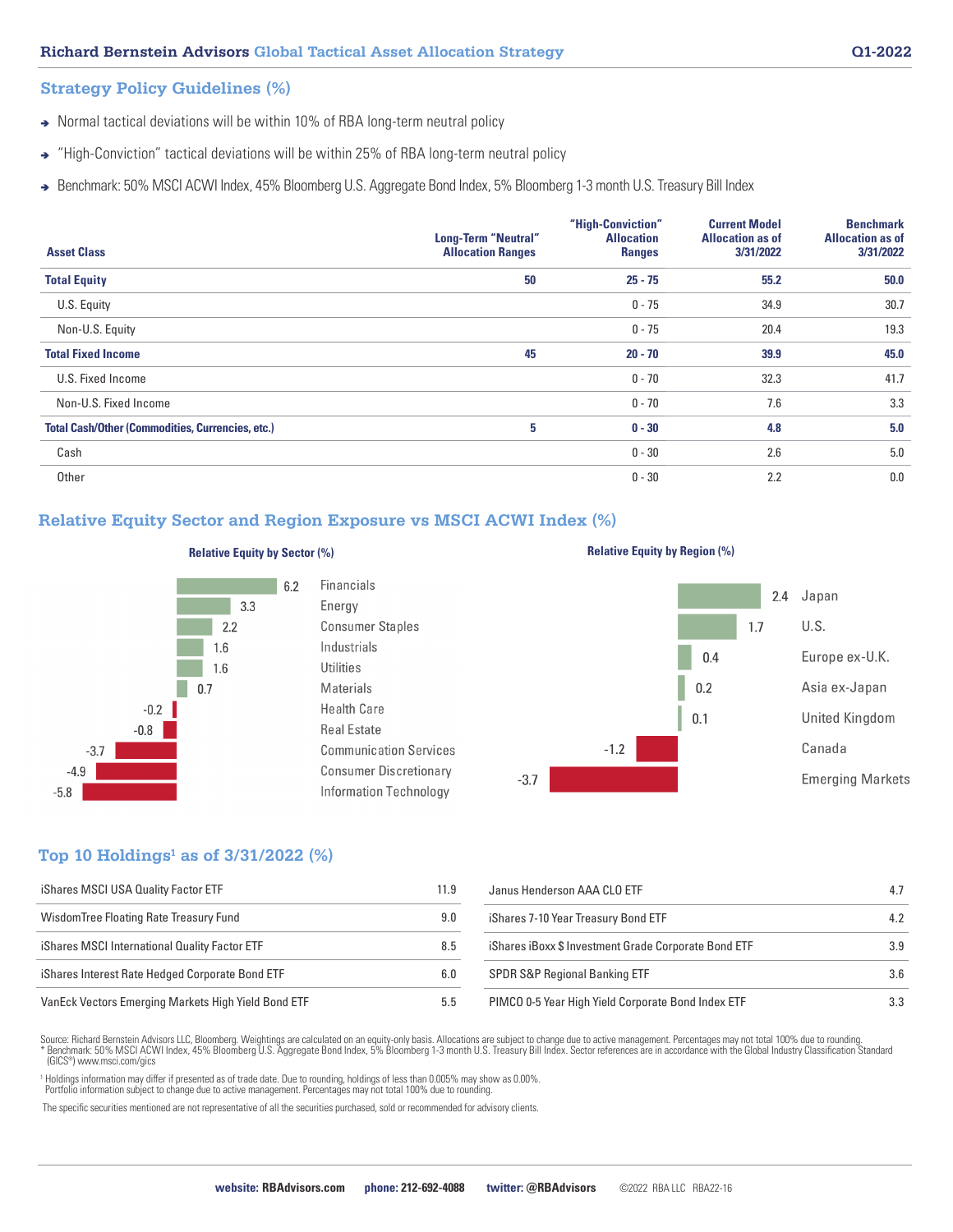### **Strategy Policy Guidelines (%)**

- Normal tactical deviations will be within 10% of RBA long-term neutral policy
- → "High-Conviction" tactical deviations will be within 25% of RBA long-term neutral policy
- Benchmark: 50% MSCI ACWI Index, 45% Bloomberg U.S. Aggregate Bond Index, 5% Bloomberg 1-3 month U.S. Treasury Bill Index

| <b>Asset Class</b>                                      | Long-Term "Neutral"<br><b>Allocation Ranges</b> | "High-Conviction"<br><b>Allocation</b><br><b>Ranges</b> | <b>Current Model</b><br><b>Allocation as of</b><br>3/31/2022 | <b>Benchmark</b><br><b>Allocation as of</b><br>3/31/2022 |
|---------------------------------------------------------|-------------------------------------------------|---------------------------------------------------------|--------------------------------------------------------------|----------------------------------------------------------|
| <b>Total Equity</b>                                     | 50                                              | $25 - 75$                                               | 55.2                                                         | 50.0                                                     |
| U.S. Equity                                             |                                                 | $0 - 75$                                                | 34.9                                                         | 30.7                                                     |
| Non-U.S. Equity                                         |                                                 | $0 - 75$                                                | 20.4                                                         | 19.3                                                     |
| <b>Total Fixed Income</b>                               | 45                                              | $20 - 70$                                               | 39.9                                                         | 45.0                                                     |
| U.S. Fixed Income                                       |                                                 | $0 - 70$                                                | 32.3                                                         | 41.7                                                     |
| Non-U.S. Fixed Income                                   |                                                 | $0 - 70$                                                | 7.6                                                          | 3.3                                                      |
| <b>Total Cash/Other (Commodities, Currencies, etc.)</b> | 5                                               | $0 - 30$                                                | 4.8                                                          | 5.0                                                      |
| Cash                                                    |                                                 | $0 - 30$                                                | 2.6                                                          | 5.0                                                      |
| Other                                                   |                                                 | $0 - 30$                                                | 2.2                                                          | 0.0                                                      |

# **Relative Equity Sector and Region Exposure vs MSCI ACWI Index (%)**



### **Relative Equity by Sector (%) Relative Equity by Region (%) Relative Equity by Region (%)**

6.2





# **Top 10 Holdings1 as of 3/31/2022 (%)**

| iShares MSCI USA Quality Factor ETF                 | 11.9 | Janus Henders           |
|-----------------------------------------------------|------|-------------------------|
| Wisdom Tree Floating Rate Treasury Fund             | 9.0  | iShares 7-10 Ye         |
| iShares MSCI International Quality Factor ETF       | 8.5  | iShares iBoxx           |
| iShares Interest Rate Hedged Corporate Bond ETF     | 6.0  | <b>SPDR S&amp;P Red</b> |
| VanEck Vectors Emerging Markets High Yield Bond ETF | 5.5  | PIMCO 0-5 Yea           |

| Janus Henderson AAA CLO ETF                          | 4.7 |
|------------------------------------------------------|-----|
| iShares 7-10 Year Treasury Bond ETF                  | 4.2 |
| iShares iBoxx \$ Investment Grade Corporate Bond ETF | 3.9 |
| <b>SPDR S&amp;P Regional Banking ETF</b>             | 3.6 |
| PIMCO 0-5 Year High Yield Corporate Bond Index ETF   | 33  |

Source: Richard Bernstein Advisors LLC, Bloomberg. Weightings are calculated on an equity-only basis. Allocations are subject to change due to active management. Percentages may not total 100% due to rounding. Benchmark: 50% MSCI ACWI Index, 45% Bloomberg U.S. Aggregate Bond Index, 5% Bloomberg 1-3 month U.S. Treasury Bill Index. Sector references are in accordance with the Global Industry Classification Standard (GICS®) www.msci.com/gics

<sup>1</sup> Holdings information may differ if presented as of trade date. Due to rounding, holdings of less than 0.005% may show as 0.00%. Portfolio information subject to change due to active management. Percentages may not total 100% due to rounding.

The specific securities mentioned are not representative of all the securities purchased, sold or recommended for advisory clients.

**website: RBAdvisors.com phone: 212-692-4088 twitter: @RBAdvisors** ©2022 RBA LLC RBA22-16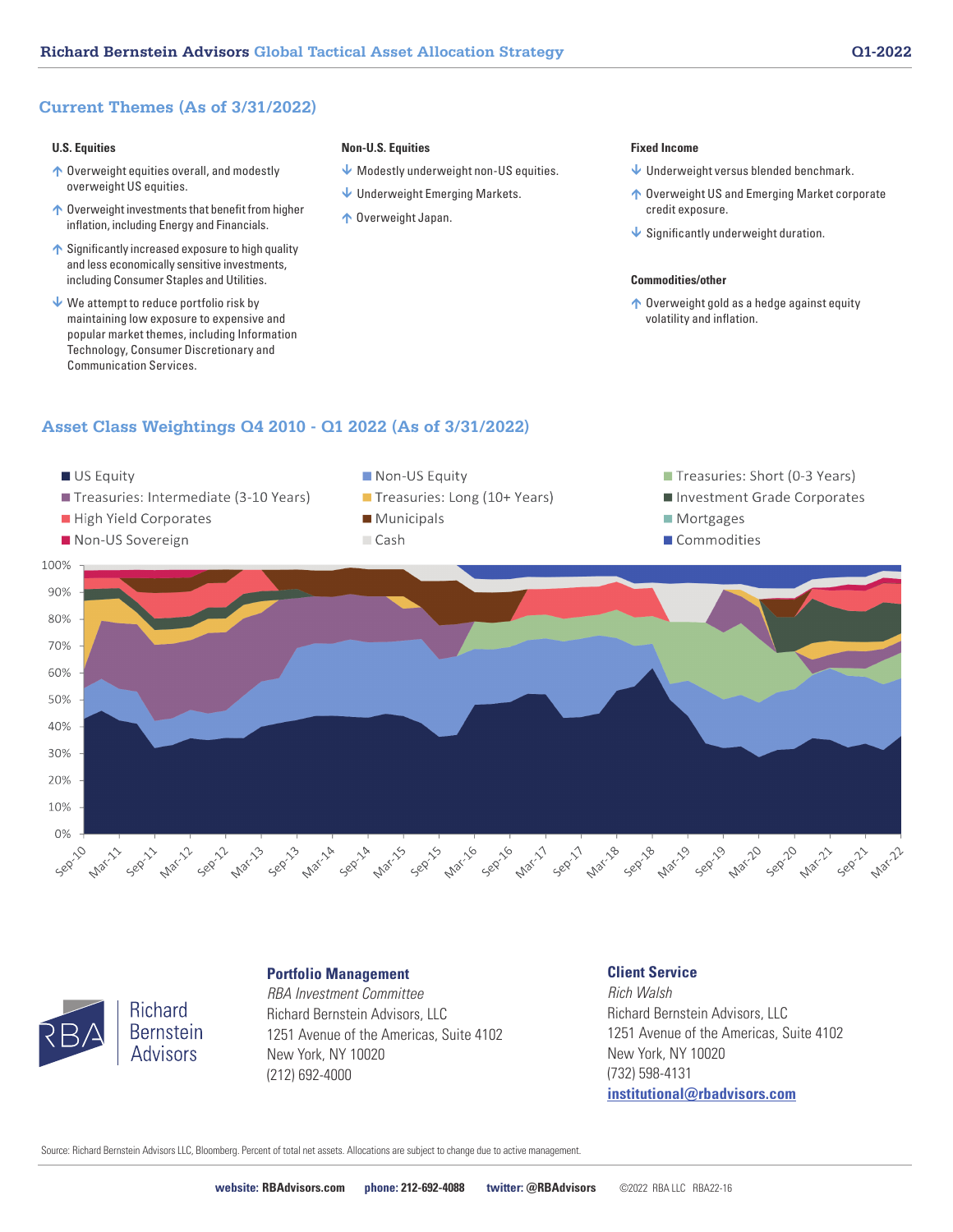# **Current Themes (As of 3/31/2022)**

### **U.S. Equities**

- ↑ Overweight equities overall, and modestly overweight US equities.
- ↑ Overweight investments that benefit from higher inflation, including Energy and Financials.
- $\uparrow$  Significantly increased exposure to high quality and less economically sensitive investments, including Consumer Staples and Utilities.
- $\vee$  We attempt to reduce portfolio risk by maintaining low exposure to expensive and popular market themes, including Information Technology, Consumer Discretionary and Communication Services.

#### **Non-U.S. Equities**

- $\blacklozenge$  Modestly underweight non-US equities.
- Underweight Emerging Markets.
- ↑ Overweight Japan.

#### **Fixed Income**

- Underweight versus blended benchmark.
- ↑ Overweight US and Emerging Market corporate credit exposure.
- $\bigvee$  Significantly underweight duration.

### **Commodities/other**

↑ Overweight gold as a hedge against equity volatility and inflation.

# **Asset Class Weightings Q4 2010 - Q1 2022 (As of 3/31/2022)**





### **Portfolio Management**

*RBA Investment Committee* Richard Bernstein Advisors, LLC 1251 Avenue of the Americas, Suite 4102 New York, NY 10020 (212) 692-4000

### **Client Service**

*Rich Walsh* Richard Bernstein Advisors, LLC 1251 Avenue of the Americas, Suite 4102 New York, NY 10020 (732) 598-4131 **institutional@rbadvisors.com**

Source: Richard Bernstein Advisors LLC, Bloomberg. Percent of total net assets. Allocations are subject to change due to active management.